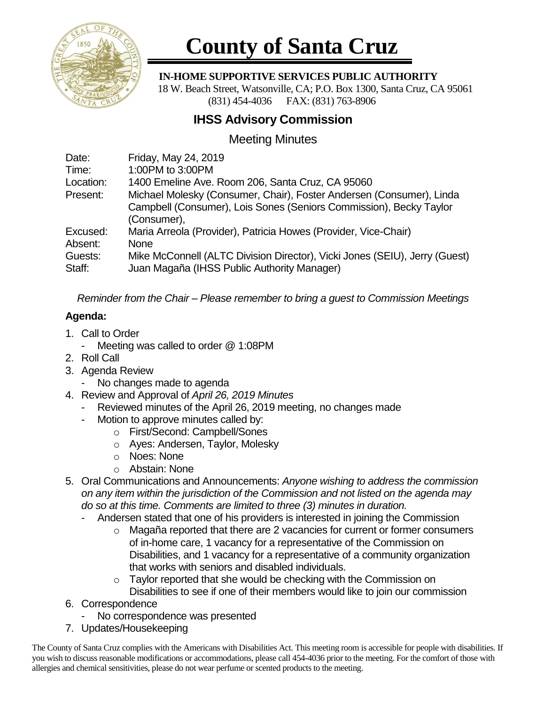

# **County of Santa Cruz**

 **IN-HOME SUPPORTIVE SERVICES PUBLIC AUTHORITY**

 18 W. Beach Street, Watsonville, CA; P.O. Box 1300, Santa Cruz, CA 95061 (831) 454-4036 FAX: (831) 763-8906

## **IHSS Advisory Commission**

## Meeting Minutes

| Date:     | Friday, May 24, 2019                                                       |
|-----------|----------------------------------------------------------------------------|
| Time:     | 1:00PM to 3:00PM                                                           |
| Location: | 1400 Emeline Ave. Room 206, Santa Cruz, CA 95060                           |
| Present:  | Michael Molesky (Consumer, Chair), Foster Andersen (Consumer), Linda       |
|           | Campbell (Consumer), Lois Sones (Seniors Commission), Becky Taylor         |
|           | (Consumer),                                                                |
| Excused:  | Maria Arreola (Provider), Patricia Howes (Provider, Vice-Chair)            |
| Absent:   | <b>None</b>                                                                |
| Guests:   | Mike McConnell (ALTC Division Director), Vicki Jones (SEIU), Jerry (Guest) |
| Staff:    | Juan Magaña (IHSS Public Authority Manager)                                |
|           |                                                                            |

*Reminder from the Chair – Please remember to bring a guest to Commission Meetings*

### **Agenda:**

- 1. Call to Order
	- Meeting was called to order @ 1:08PM
- 2. Roll Call
- 3. Agenda Review
	- No changes made to agenda
- 4. Review and Approval of *April 26, 2019 Minutes*
	- Reviewed minutes of the April 26, 2019 meeting, no changes made
		- Motion to approve minutes called by:
			- o First/Second: Campbell/Sones
			- o Ayes: Andersen, Taylor, Molesky
			- o Noes: None
			- o Abstain: None
- 5. Oral Communications and Announcements: *Anyone wishing to address the commission on any item within the jurisdiction of the Commission and not listed on the agenda may do so at this time. Comments are limited to three (3) minutes in duration.*
	- Andersen stated that one of his providers is interested in joining the Commission
		- $\circ$  Magaña reported that there are 2 vacancies for current or former consumers of in-home care, 1 vacancy for a representative of the Commission on Disabilities, and 1 vacancy for a representative of a community organization that works with seniors and disabled individuals.
		- o Taylor reported that she would be checking with the Commission on Disabilities to see if one of their members would like to join our commission
- 6. Correspondence
	- No correspondence was presented
- 7. Updates/Housekeeping

The County of Santa Cruz complies with the Americans with Disabilities Act. This meeting room is accessible for people with disabilities. If you wish to discuss reasonable modifications or accommodations, please call 454-4036 prior to the meeting. For the comfort of those with allergies and chemical sensitivities, please do not wear perfume or scented products to the meeting.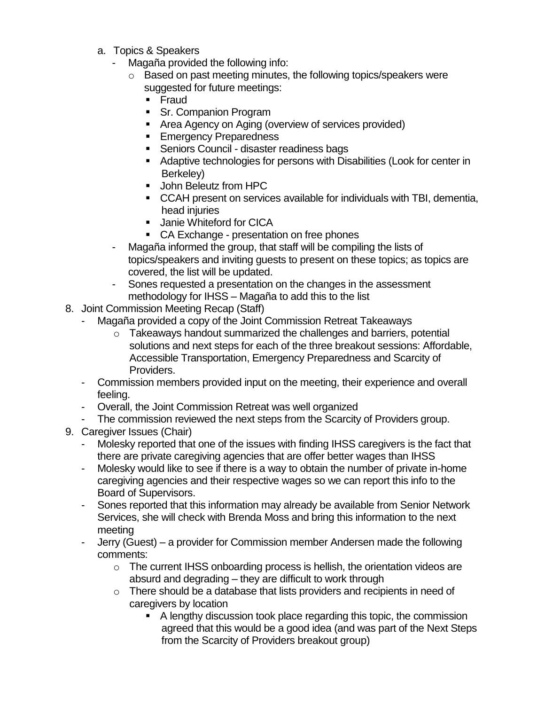- a. Topics & Speakers
	- Magaña provided the following info:
		- o Based on past meeting minutes, the following topics/speakers were suggested for future meetings:
			- Fraud
			- Sr. Companion Program
			- Area Agency on Aging (overview of services provided)
			- Emergency Preparedness
			- Seniors Council disaster readiness bags
			- Adaptive technologies for persons with Disabilities (Look for center in Berkeley)
			- John Beleutz from HPC
			- CCAH present on services available for individuals with TBI, dementia, head injuries
			- Janie Whiteford for CICA
			- CA Exchange presentation on free phones
	- Magaña informed the group, that staff will be compiling the lists of topics/speakers and inviting guests to present on these topics; as topics are covered, the list will be updated.
	- Sones requested a presentation on the changes in the assessment methodology for IHSS – Magaña to add this to the list
- 8. Joint Commission Meeting Recap (Staff)
	- Magaña provided a copy of the Joint Commission Retreat Takeaways
		- $\circ$  Takeaways handout summarized the challenges and barriers, potential solutions and next steps for each of the three breakout sessions: Affordable, Accessible Transportation, Emergency Preparedness and Scarcity of Providers.
	- Commission members provided input on the meeting, their experience and overall feeling.
	- Overall, the Joint Commission Retreat was well organized
	- The commission reviewed the next steps from the Scarcity of Providers group.
- 9. Caregiver Issues (Chair)
	- Molesky reported that one of the issues with finding IHSS caregivers is the fact that there are private caregiving agencies that are offer better wages than IHSS
	- Molesky would like to see if there is a way to obtain the number of private in-home caregiving agencies and their respective wages so we can report this info to the Board of Supervisors.
	- Sones reported that this information may already be available from Senior Network Services, she will check with Brenda Moss and bring this information to the next meeting
	- Jerry (Guest) a provider for Commission member Andersen made the following comments:
		- $\circ$  The current IHSS onboarding process is hellish, the orientation videos are absurd and degrading – they are difficult to work through
		- $\circ$  There should be a database that lists providers and recipients in need of caregivers by location
			- A lengthy discussion took place regarding this topic, the commission agreed that this would be a good idea (and was part of the Next Steps from the Scarcity of Providers breakout group)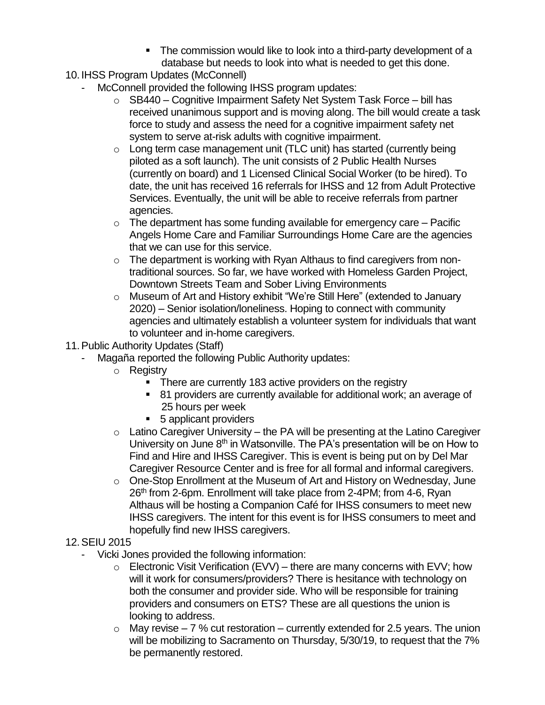- The commission would like to look into a third-party development of a database but needs to look into what is needed to get this done.
- 10. IHSS Program Updates (McConnell)
	- McConnell provided the following IHSS program updates:
		- o SB440 Cognitive Impairment Safety Net System Task Force bill has received unanimous support and is moving along. The bill would create a task force to study and assess the need for a cognitive impairment safety net system to serve at-risk adults with cognitive impairment.
		- o Long term case management unit (TLC unit) has started (currently being piloted as a soft launch). The unit consists of 2 Public Health Nurses (currently on board) and 1 Licensed Clinical Social Worker (to be hired). To date, the unit has received 16 referrals for IHSS and 12 from Adult Protective Services. Eventually, the unit will be able to receive referrals from partner agencies.
		- $\circ$  The department has some funding available for emergency care Pacific Angels Home Care and Familiar Surroundings Home Care are the agencies that we can use for this service.
		- o The department is working with Ryan Althaus to find caregivers from nontraditional sources. So far, we have worked with Homeless Garden Project, Downtown Streets Team and Sober Living Environments
		- o Museum of Art and History exhibit "We're Still Here" (extended to January 2020) – Senior isolation/loneliness. Hoping to connect with community agencies and ultimately establish a volunteer system for individuals that want to volunteer and in-home caregivers.
- 11.Public Authority Updates (Staff)
	- Magaña reported the following Public Authority updates:
		- o Registry
			- There are currently 183 active providers on the registry
			- 81 providers are currently available for additional work; an average of 25 hours per week
			- 5 applicant providers
		- $\circ$  Latino Caregiver University the PA will be presenting at the Latino Caregiver University on June 8<sup>th</sup> in Watsonville. The PA's presentation will be on How to Find and Hire and IHSS Caregiver. This is event is being put on by Del Mar Caregiver Resource Center and is free for all formal and informal caregivers.
		- $\circ$  One-Stop Enrollment at the Museum of Art and History on Wednesday, June 26<sup>th</sup> from 2-6pm. Enrollment will take place from 2-4PM; from 4-6, Ryan Althaus will be hosting a Companion Café for IHSS consumers to meet new IHSS caregivers. The intent for this event is for IHSS consumers to meet and hopefully find new IHSS caregivers.

#### 12.SEIU 2015

- Vicki Jones provided the following information:
	- $\circ$  Electronic Visit Verification (EVV) there are many concerns with EVV; how will it work for consumers/providers? There is hesitance with technology on both the consumer and provider side. Who will be responsible for training providers and consumers on ETS? These are all questions the union is looking to address.
	- $\circ$  May revise 7 % cut restoration currently extended for 2.5 years. The union will be mobilizing to Sacramento on Thursday, 5/30/19, to request that the 7% be permanently restored.